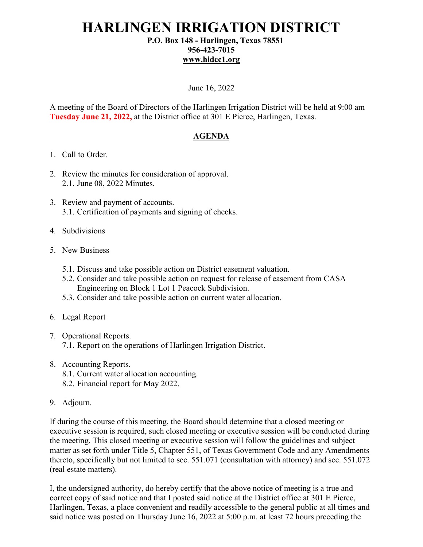## **HARLINGEN IRRIGATION DISTRICT P.O. Box 148 - Harlingen, Texas 78551**

## **956-423-7015 [www.hidcc1.org](http://www.hidcc1.org/)**

June 16, 2022

A meeting of the Board of Directors of the Harlingen Irrigation District will be held at 9:00 am **Tuesday June 21, 2022,** at the District office at 301 E Pierce, Harlingen, Texas.

## **AGENDA**

- 1. Call to Order.
- 2. Review the minutes for consideration of approval. 2.1. June 08, 2022 Minutes.
- 3. Review and payment of accounts. 3.1. Certification of payments and signing of checks.
- 4. Subdivisions
- 5. New Business
	- 5.1. Discuss and take possible action on District easement valuation.
	- 5.2. Consider and take possible action on request for release of easement from CASA Engineering on Block 1 Lot 1 Peacock Subdivision.
	- 5.3. Consider and take possible action on current water allocation.
- 6. Legal Report
- 7. Operational Reports. 7.1. Report on the operations of Harlingen Irrigation District.
- 8. Accounting Reports.
	- 8.1. Current water allocation accounting.
	- 8.2. Financial report for May 2022.
- 9. Adjourn.

If during the course of this meeting, the Board should determine that a closed meeting or executive session is required, such closed meeting or executive session will be conducted during the meeting. This closed meeting or executive session will follow the guidelines and subject matter as set forth under Title 5, Chapter 551, of Texas Government Code and any Amendments thereto, specifically but not limited to sec. 551.071 (consultation with attorney) and sec. 551.072 (real estate matters).

I, the undersigned authority, do hereby certify that the above notice of meeting is a true and correct copy of said notice and that I posted said notice at the District office at 301 E Pierce, Harlingen, Texas, a place convenient and readily accessible to the general public at all times and said notice was posted on Thursday June 16, 2022 at 5:00 p.m. at least 72 hours preceding the